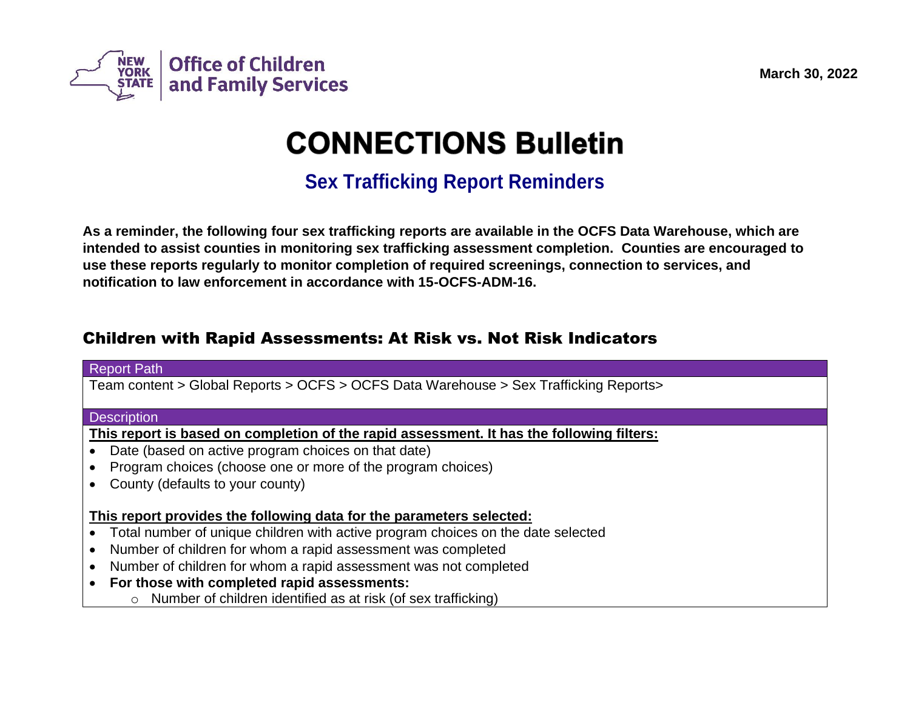

# **CONNECTIONS Bulletin**

## **Sex Trafficking Report Reminders**

**As a reminder, the following four sex trafficking reports are available in the OCFS Data Warehouse, which are intended to assist counties in monitoring sex trafficking assessment completion. Counties are encouraged to use these reports regularly to monitor completion of required screenings, connection to services, and notification to law enforcement in accordance with 15-OCFS-ADM-16.** 

## Children with Rapid Assessments: At Risk vs. Not Risk Indicators

## Report Path Team content > Global Reports > OCFS > OCFS Data Warehouse > Sex Trafficking Reports> **Description This report is based on completion of the rapid assessment. It has the following filters:** • Date (based on active program choices on that date) • Program choices (choose one or more of the program choices) • County (defaults to your county) **This report provides the following data for the parameters selected:** • Total number of unique children with active program choices on the date selected • Number of children for whom a rapid assessment was completed • Number of children for whom a rapid assessment was not completed • **For those with completed rapid assessments:** o Number of children identified as at risk (of sex trafficking)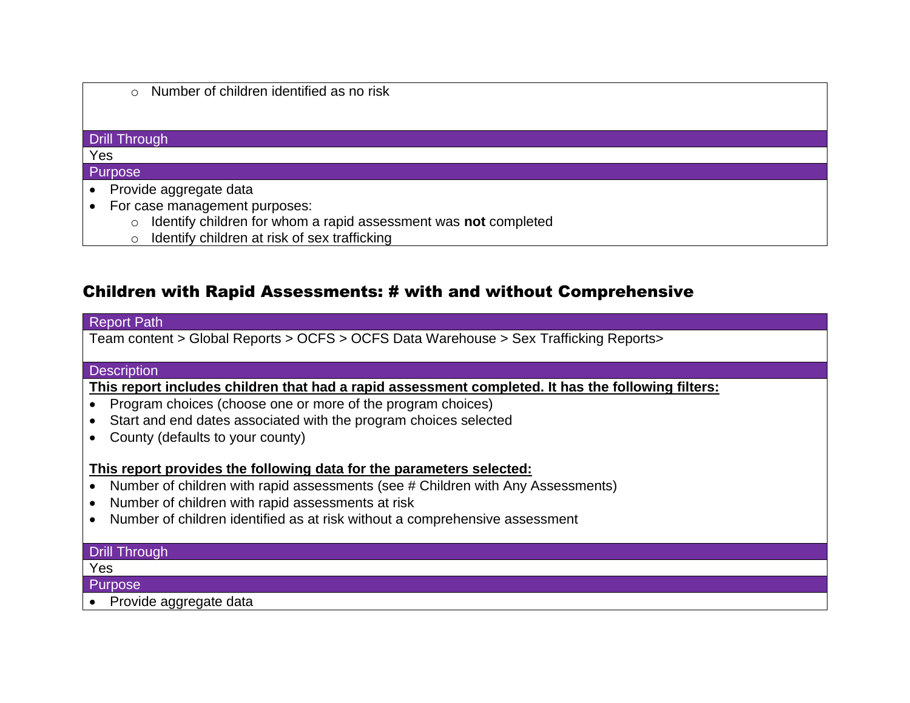|  |  |  |  | Number of children identified as no risk |  |  |  |
|--|--|--|--|------------------------------------------|--|--|--|
|--|--|--|--|------------------------------------------|--|--|--|

## Drill Through

#### Yes

#### Purpose

- Provide aggregate data
- For case management purposes:
	- o Identify children for whom a rapid assessment was **not** completed
	- o Identify children at risk of sex trafficking

## Children with Rapid Assessments: # with and without Comprehensive

#### Report Path

Team content > Global Reports > OCFS > OCFS Data Warehouse > Sex Trafficking Reports>

#### **Description**

**This report includes children that had a rapid assessment completed. It has the following filters:**

- Program choices (choose one or more of the program choices)
- Start and end dates associated with the program choices selected
- County (defaults to your county)

## **This report provides the following data for the parameters selected:**

- Number of children with rapid assessments (see # Children with Any Assessments)
- Number of children with rapid assessments at risk
- Number of children identified as at risk without a comprehensive assessment

## Drill Through

#### Yes

**Purpose** 

• Provide aggregate data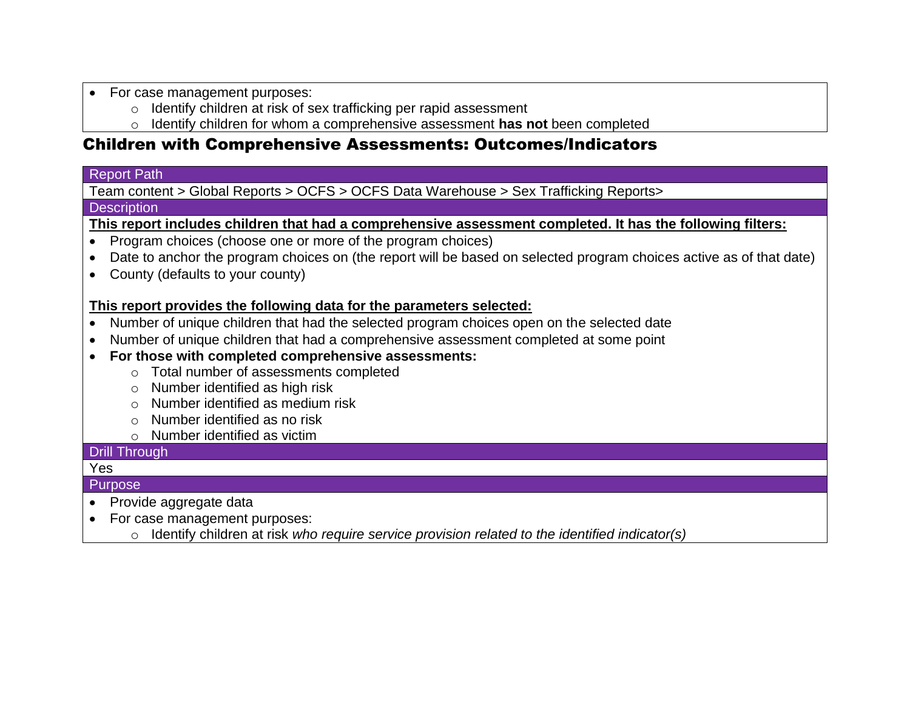- For case management purposes:
	- o Identify children at risk of sex trafficking per rapid assessment
	- o Identify children for whom a comprehensive assessment **has not** been completed

## Children with Comprehensive Assessments: Outcomes/Indicators

## Report Path

Team content > Global Reports > OCFS > OCFS Data Warehouse > Sex Trafficking Reports>

## **Description**

**This report includes children that had a comprehensive assessment completed. It has the following filters:**

- Program choices (choose one or more of the program choices)
- Date to anchor the program choices on (the report will be based on selected program choices active as of that date)
- County (defaults to your county)

## **This report provides the following data for the parameters selected:**

- Number of unique children that had the selected program choices open on the selected date
- Number of unique children that had a comprehensive assessment completed at some point
- **For those with completed comprehensive assessments:**
	- o Total number of assessments completed
	- o Number identified as high risk
	- o Number identified as medium risk
	- o Number identified as no risk
	- o Number identified as victim

## Drill Through

#### Yes Purpose

- Provide aggregate data
- For case management purposes:
	- o Identify children at risk *who require service provision related to the identified indicator(s)*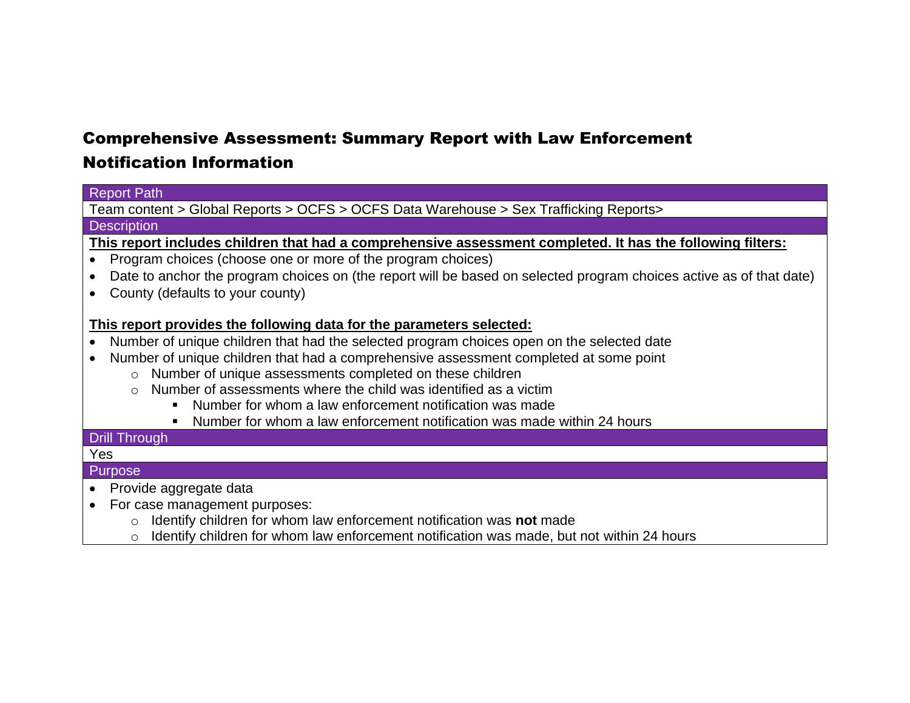## Comprehensive Assessment: Summary Report with Law Enforcement

## Notification Information

### Report Path

Team content > Global Reports > OCFS > OCFS Data Warehouse > Sex Trafficking Reports>

#### **Description**

**This report includes children that had a comprehensive assessment completed. It has the following filters:**

- Program choices (choose one or more of the program choices)
- Date to anchor the program choices on (the report will be based on selected program choices active as of that date)
- County (defaults to your county)

## **This report provides the following data for the parameters selected:**

- Number of unique children that had the selected program choices open on the selected date
- Number of unique children that had a comprehensive assessment completed at some point
	- o Number of unique assessments completed on these children
	- $\circ$  Number of assessments where the child was identified as a victim
		- Number for whom a law enforcement notification was made
		- Number for whom a law enforcement notification was made within 24 hours

### Drill Through

### Yes

### Purpose

- Provide aggregate data
- For case management purposes:
	- o Identify children for whom law enforcement notification was **not** made
	- o Identify children for whom law enforcement notification was made, but not within 24 hours